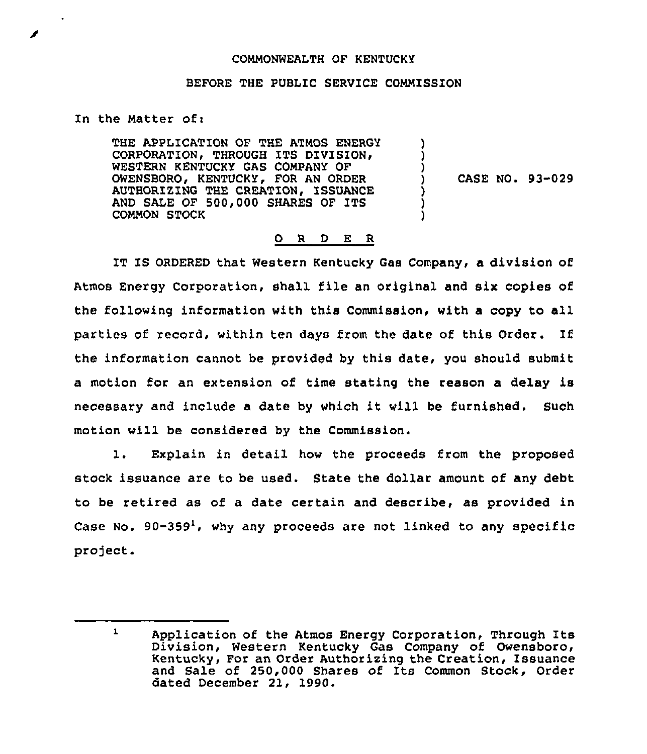## COMMONWEALTH OF KENTUCKY

## BEFORE THE PUBLIC SERVICE COMNISSION

In the Natter of:

THE APPLICATION OF THE ATMOS ENERGY CORPORATION, THROUGH ITS DIVISION, WESTERN KENTUCKY GAS COMPANY OF OWENSBORO, KENTUCKY, FOR AN ORDER AUTHORIZING THE CREATION, ISSUANCE AND SALE OF 500,000 SHARES OF ITS CONNON STOCK

) CASE NO. 93-029

) ) )

) <u>ן</u> )

## 0 R <sup>D</sup> E R

IT IS ORDERED that Western Kentucky Gas Company, a division of Atmos Energy Corporation, shall file an original and six copies of the following information with this Commission, with a copy to all parties of record, within ten days from the date of this Order, If the information cannot be provided by this date, you should submit a motion for an extension of time stating the reason a delay is necessary and include <sup>a</sup> date by which it will be furnished. Such motion will be considered by the Commission.

1. Explain in detail how the proceeds from the proposed stock issuance are to be used. State the dollar amount of any debt to be retired as of a date certain and describe, as provided in Case No. 90-359', why any proceeds are not linked to any specific project.

 $\mathbf{1}$ Application of the Atmos Energy Corporation, Through Its Division, Western Kentucky Gas Company of Owensboro, Kentucky, For an Order Authozixing the Creation, Issuance and Sale of 250,000 Shares of Its Common Stock, Order dated December 21, 1990.